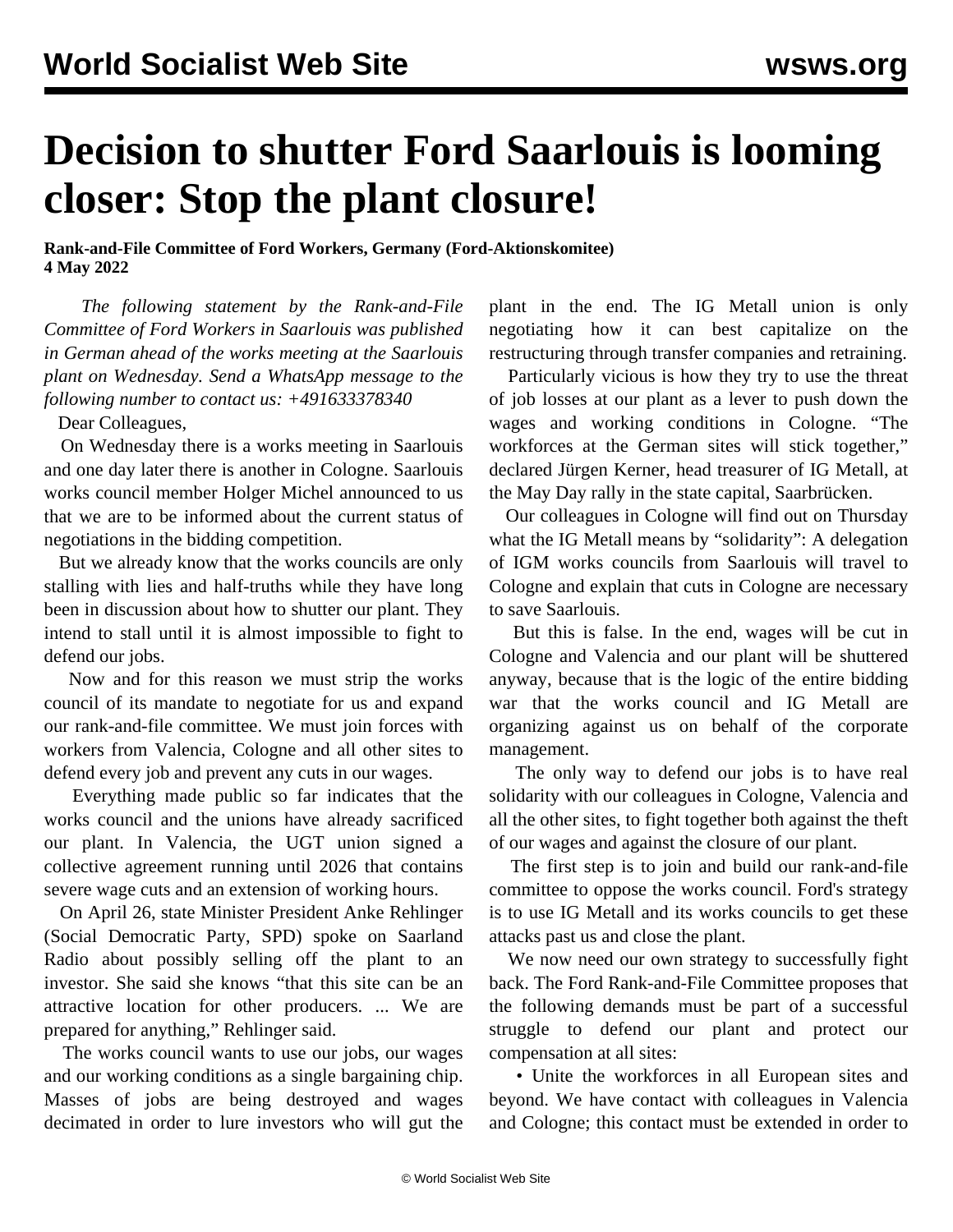## **Decision to shutter Ford Saarlouis is looming closer: Stop the plant closure!**

**Rank-and-File Committee of Ford Workers, Germany (Ford-Aktionskomitee) 4 May 2022**

 *The following statement by the Rank-and-File Committee of Ford Workers in Saarlouis was published in German ahead of the works meeting at the Saarlouis plant on Wednesday. Send a WhatsApp message to the following number to contact us: +491633378340*

Dear Colleagues,

 On Wednesday there is a works meeting in Saarlouis and one day later there is another in Cologne. Saarlouis works council member Holger Michel announced to us that we are to be informed about the current status of negotiations in the bidding competition.

 But we already know that the works councils are only stalling with lies and half-truths while they have long been in discussion about how to shutter our plant. They intend to stall until it is almost impossible to fight to defend our jobs.

 Now and for this reason we must strip the works council of its mandate to negotiate for us and expand our rank-and-file committee. We must join forces with workers from Valencia, Cologne and all other sites to defend every job and prevent any cuts in our wages.

 Everything made public so far indicates that the works council and the unions have already sacrificed our plant. In Valencia, the UGT union signed a collective agreement running until 2026 that contains severe wage cuts and an extension of working hours.

 On April 26, state Minister President Anke Rehlinger (Social Democratic Party, SPD) spoke on Saarland Radio about possibly selling off the plant to an investor. She said she knows "that this site can be an attractive location for other producers. ... We are prepared for anything," Rehlinger said.

 The works council wants to use our jobs, our wages and our working conditions as a single bargaining chip. Masses of jobs are being destroyed and wages decimated in order to lure investors who will gut the plant in the end. The IG Metall union is only negotiating how it can best capitalize on the restructuring through transfer companies and retraining.

 Particularly vicious is how they try to use the threat of job losses at our plant as a lever to push down the wages and working conditions in Cologne. "The workforces at the German sites will stick together," declared Jürgen Kerner, head treasurer of IG Metall, at the May Day rally in the state capital, Saarbrücken.

 Our colleagues in Cologne will find out on Thursday what the IG Metall means by "solidarity": A delegation of IGM works councils from Saarlouis will travel to Cologne and explain that cuts in Cologne are necessary to save Saarlouis.

 But this is false. In the end, wages will be cut in Cologne and Valencia and our plant will be shuttered anyway, because that is the logic of the entire bidding war that the works council and IG Metall are organizing against us on behalf of the corporate management.

 The only way to defend our jobs is to have real solidarity with our colleagues in Cologne, Valencia and all the other sites, to fight together both against the theft of our wages and against the closure of our plant.

 The first step is to join and build our rank-and-file committee to oppose the works council. Ford's strategy is to use IG Metall and its works councils to get these attacks past us and close the plant.

 We now need our own strategy to successfully fight back. The Ford Rank-and-File Committee proposes that the following demands must be part of a successful struggle to defend our plant and protect our compensation at all sites:

 • Unite the workforces in all European sites and beyond. We have contact with colleagues in Valencia and Cologne; this contact must be extended in order to